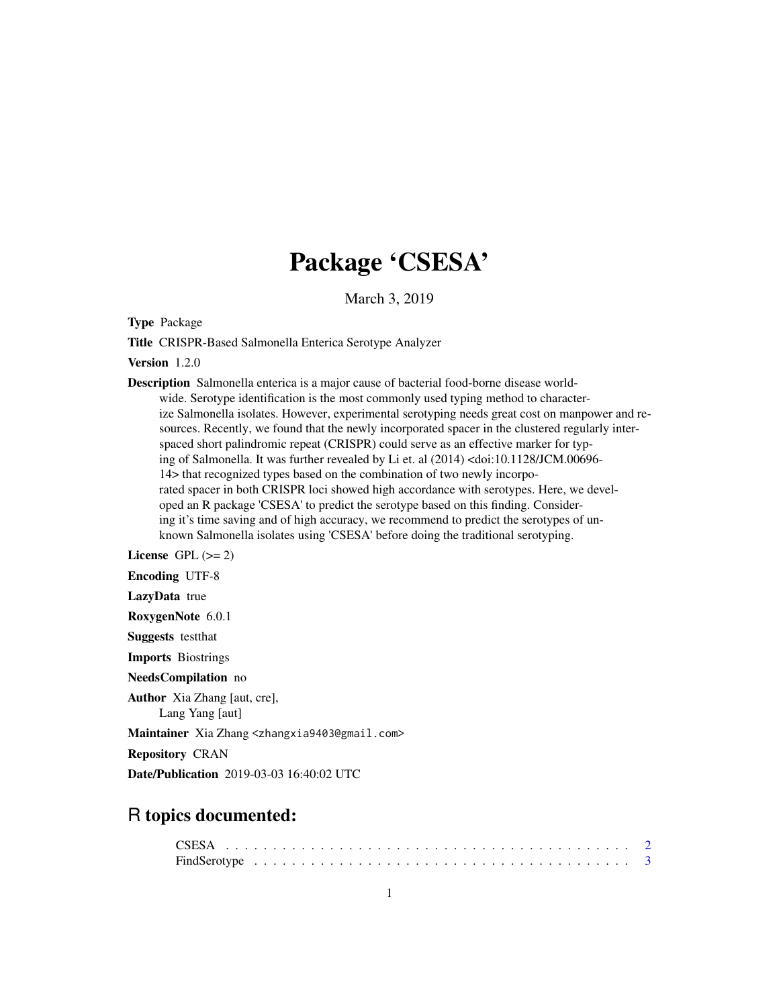## Package 'CSESA'

March 3, 2019

Type Package

Title CRISPR-Based Salmonella Enterica Serotype Analyzer

Version 1.2.0

Description Salmonella enterica is a major cause of bacterial food-borne disease worldwide. Serotype identification is the most commonly used typing method to characterize Salmonella isolates. However, experimental serotyping needs great cost on manpower and resources. Recently, we found that the newly incorporated spacer in the clustered regularly interspaced short palindromic repeat (CRISPR) could serve as an effective marker for typing of Salmonella. It was further revealed by Li et. al (2014) <doi:10.1128/JCM.00696- 14> that recognized types based on the combination of two newly incorporated spacer in both CRISPR loci showed high accordance with serotypes. Here, we developed an R package 'CSESA' to predict the serotype based on this finding. Considering it's time saving and of high accuracy, we recommend to predict the serotypes of unknown Salmonella isolates using 'CSESA' before doing the traditional serotyping.

License GPL  $(>= 2)$ 

Encoding UTF-8

LazyData true

RoxygenNote 6.0.1

Suggests testthat

Imports Biostrings

NeedsCompilation no

Author Xia Zhang [aut, cre], Lang Yang [aut]

Maintainer Xia Zhang <zhangxia9403@gmail.com>

Repository CRAN

Date/Publication 2019-03-03 16:40:02 UTC

### R topics documented: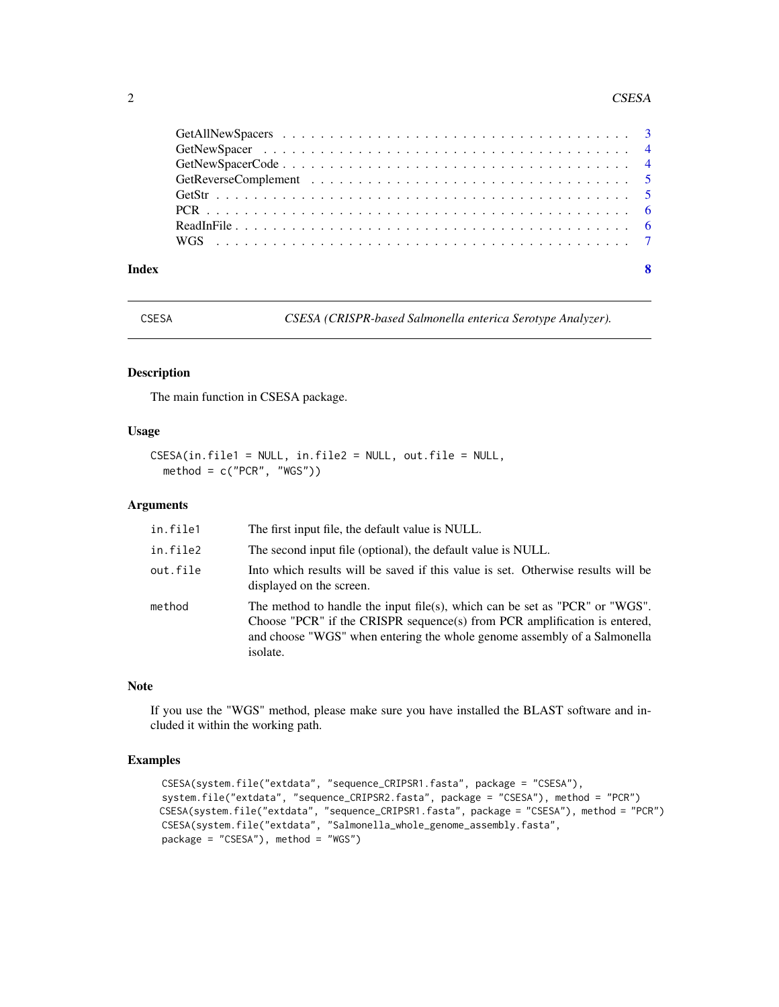#### <span id="page-1-0"></span>2 CSESA

| Index |  |
|-------|--|

CSESA *CSESA (CRISPR-based Salmonella enterica Serotype Analyzer).*

#### Description

The main function in CSESA package.

#### Usage

```
CSESA(in.file1 = NULL, in.file2 = NULL, out.file = NULL,
 method = c("PCR", "WGS"))
```
#### Arguments

| in.file1 | The first input file, the default value is NULL.                                                                                                                                                                                                 |
|----------|--------------------------------------------------------------------------------------------------------------------------------------------------------------------------------------------------------------------------------------------------|
| in.file2 | The second input file (optional), the default value is NULL.                                                                                                                                                                                     |
| out.file | Into which results will be saved if this value is set. Otherwise results will be<br>displayed on the screen.                                                                                                                                     |
| method   | The method to handle the input file(s), which can be set as "PCR" or "WGS".<br>Choose "PCR" if the CRISPR sequence(s) from PCR amplification is entered,<br>and choose "WGS" when entering the whole genome assembly of a Salmonella<br>isolate. |

#### Note

If you use the "WGS" method, please make sure you have installed the BLAST software and included it within the working path.

#### Examples

```
CSESA(system.file("extdata", "sequence_CRIPSR1.fasta", package = "CSESA"),
system.file("extdata", "sequence_CRIPSR2.fasta", package = "CSESA"), method = "PCR")
CSESA(system.file("extdata", "sequence_CRIPSR1.fasta", package = "CSESA"), method = "PCR")
CSESA(system.file("extdata", "Salmonella_whole_genome_assembly.fasta",
package = "CSESA"), method = "WGS")
```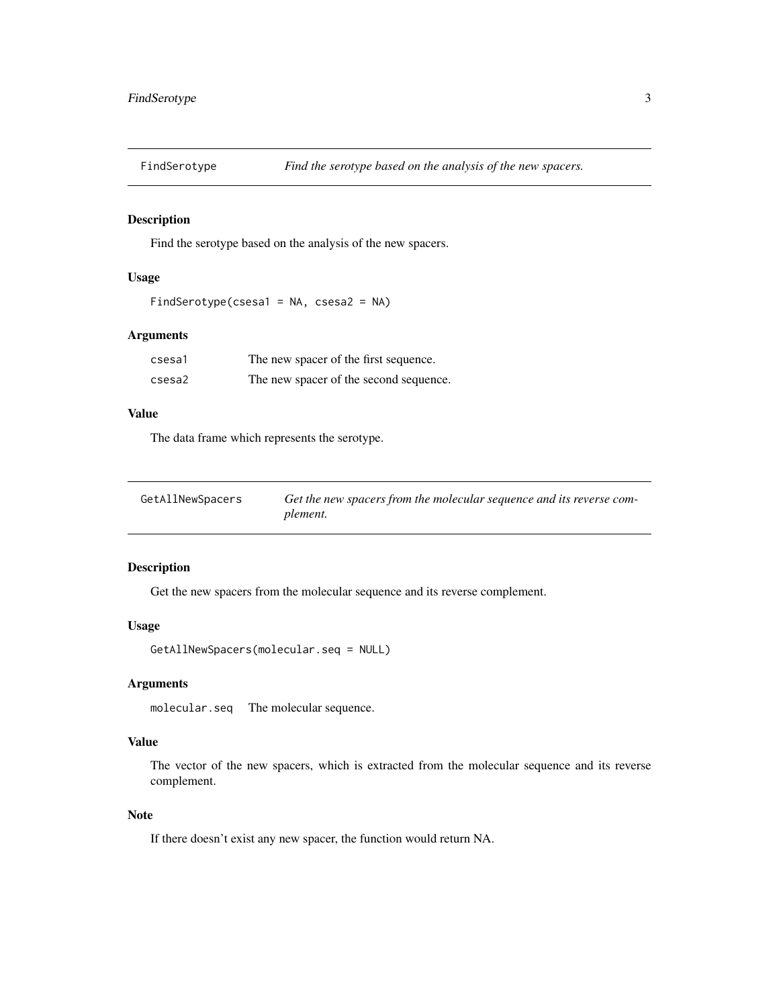<span id="page-2-0"></span>

Find the serotype based on the analysis of the new spacers.

#### Usage

```
FindSerotype(csesa1 = NA, csesa2 = NA)
```
#### Arguments

| csesa1 | The new spacer of the first sequence.  |
|--------|----------------------------------------|
| csesa2 | The new spacer of the second sequence. |

#### Value

The data frame which represents the serotype.

| GetAllNewSpacers | Get the new spacers from the molecular sequence and its reverse com- |
|------------------|----------------------------------------------------------------------|
|                  | plement.                                                             |

#### Description

Get the new spacers from the molecular sequence and its reverse complement.

#### Usage

GetAllNewSpacers(molecular.seq = NULL)

#### Arguments

molecular.seq The molecular sequence.

#### Value

The vector of the new spacers, which is extracted from the molecular sequence and its reverse complement.

#### Note

If there doesn't exist any new spacer, the function would return NA.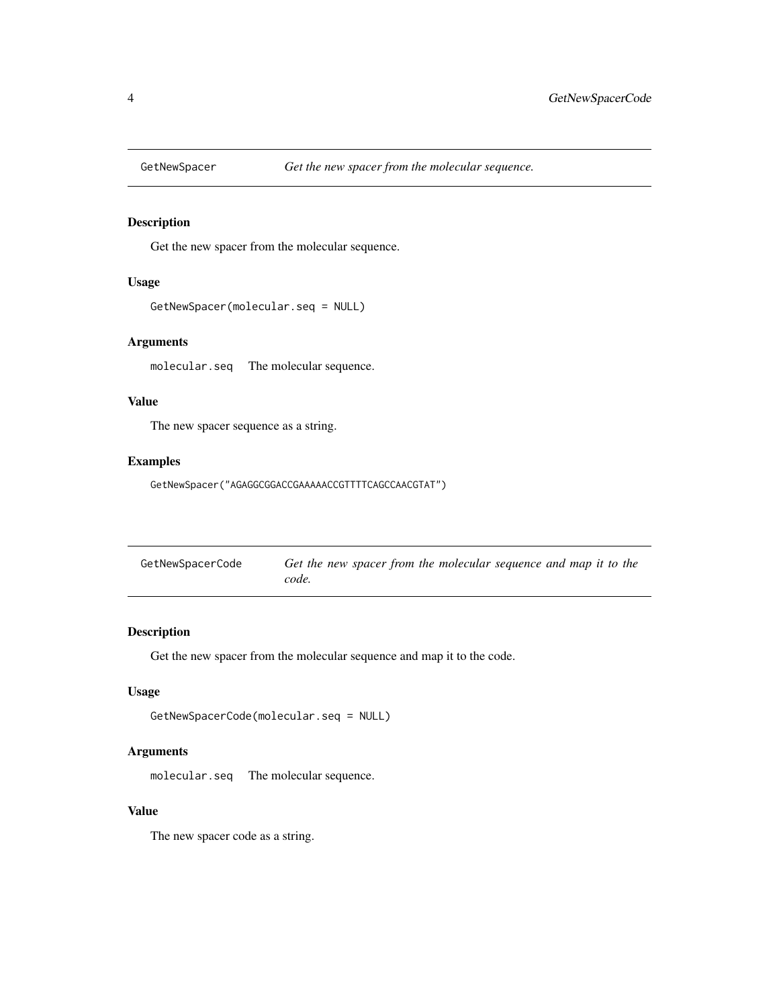<span id="page-3-0"></span>

Get the new spacer from the molecular sequence.

#### Usage

```
GetNewSpacer(molecular.seq = NULL)
```
#### Arguments

molecular.seq The molecular sequence.

#### Value

The new spacer sequence as a string.

#### Examples

GetNewSpacer("AGAGGCGGACCGAAAAACCGTTTTCAGCCAACGTAT")

| GetNewSpacerCode | Get the new spacer from the molecular sequence and map it to the |
|------------------|------------------------------------------------------------------|
|                  | code.                                                            |

#### Description

Get the new spacer from the molecular sequence and map it to the code.

#### Usage

```
GetNewSpacerCode(molecular.seq = NULL)
```
#### Arguments

molecular.seq The molecular sequence.

#### Value

The new spacer code as a string.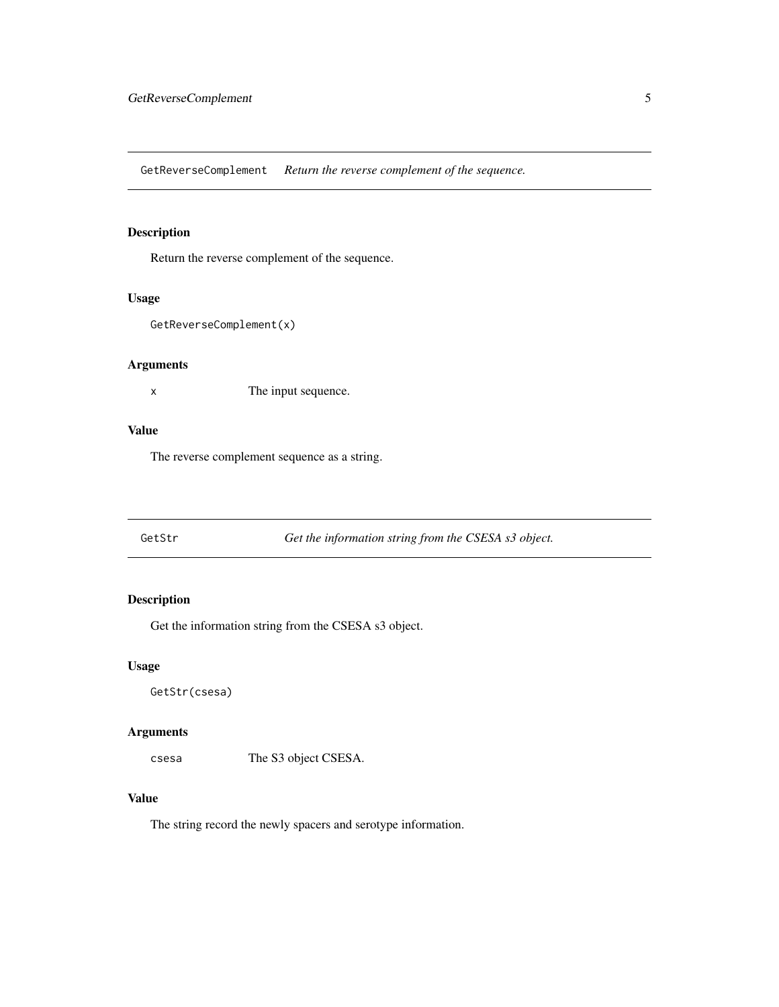<span id="page-4-0"></span>GetReverseComplement *Return the reverse complement of the sequence.*

#### Description

Return the reverse complement of the sequence.

#### Usage

```
GetReverseComplement(x)
```
#### Arguments

x The input sequence.

#### Value

The reverse complement sequence as a string.

GetStr *Get the information string from the CSESA s3 object.*

#### Description

Get the information string from the CSESA s3 object.

#### Usage

GetStr(csesa)

#### Arguments

csesa The S3 object CSESA.

#### Value

The string record the newly spacers and serotype information.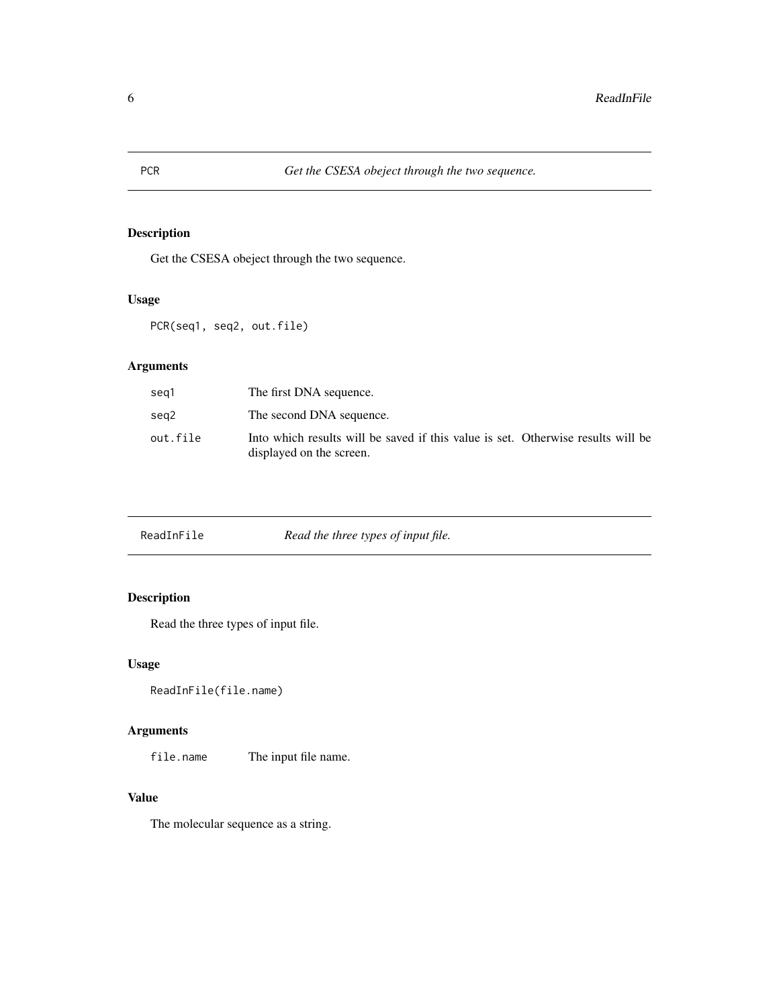<span id="page-5-0"></span>Get the CSESA obeject through the two sequence.

#### Usage

PCR(seq1, seq2, out.file)

#### Arguments

| seg1     | The first DNA sequence.                                                                                      |
|----------|--------------------------------------------------------------------------------------------------------------|
| seg2     | The second DNA sequence.                                                                                     |
| out.file | Into which results will be saved if this value is set. Otherwise results will be<br>displayed on the screen. |

| ReadInFile | Read the three types of input file. |
|------------|-------------------------------------|
|------------|-------------------------------------|

#### Description

Read the three types of input file.

#### Usage

```
ReadInFile(file.name)
```
#### Arguments

file.name The input file name.

#### Value

The molecular sequence as a string.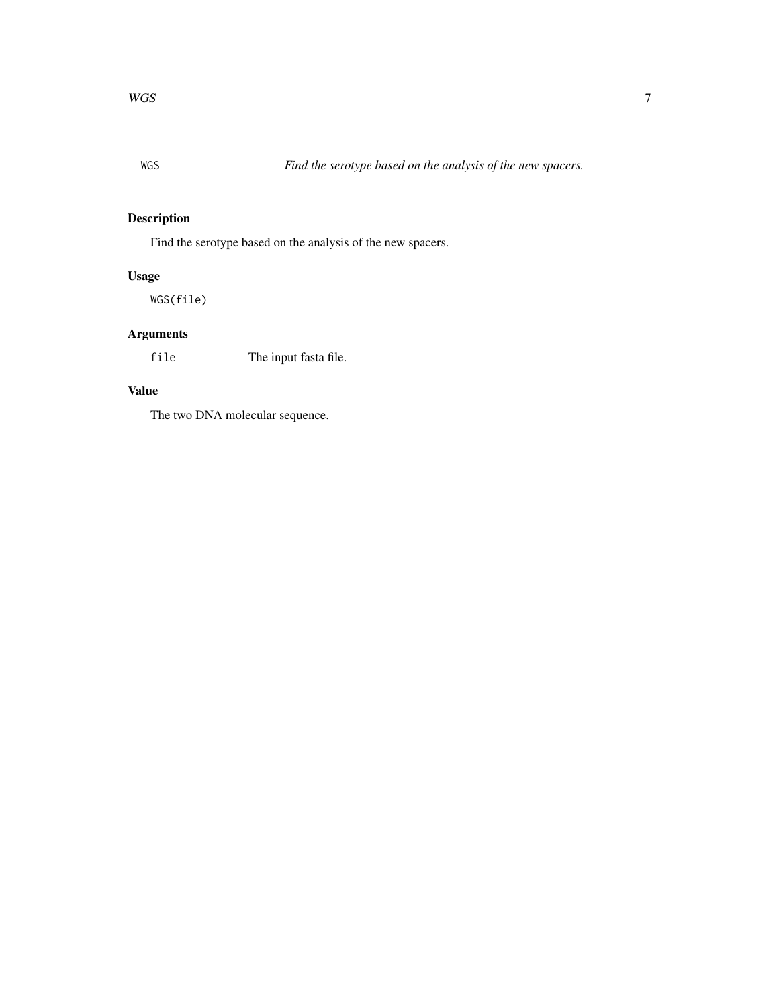<span id="page-6-0"></span>

Find the serotype based on the analysis of the new spacers.

#### Usage

WGS(file)

#### Arguments

file The input fasta file.

#### Value

The two DNA molecular sequence.